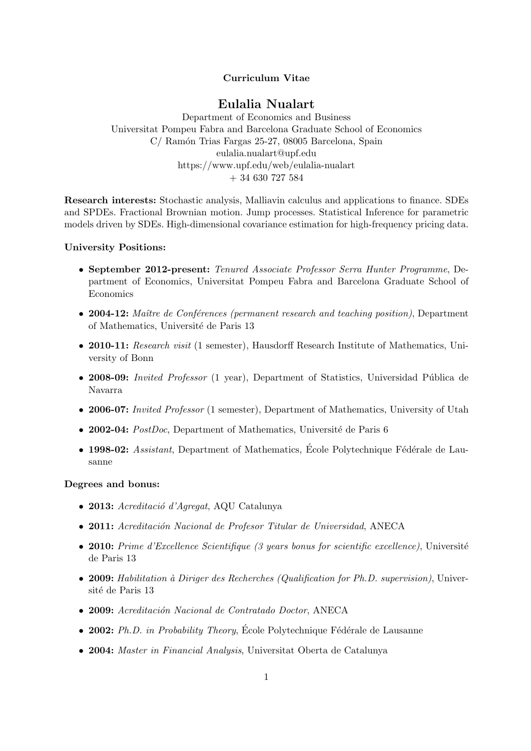### Curriculum Vitae

# Eulalia Nualart

Department of Economics and Business Universitat Pompeu Fabra and Barcelona Graduate School of Economics C/ Ramón Trias Fargas 25-27, 08005 Barcelona, Spain eulalia.nualart@upf.edu https://www.upf.edu/web/eulalia-nualart + 34 630 727 584

Research interests: Stochastic analysis, Malliavin calculus and applications to finance. SDEs and SPDEs. Fractional Brownian motion. Jump processes. Statistical Inference for parametric models driven by SDEs. High-dimensional covariance estimation for high-frequency pricing data.

### University Positions:

- September 2012-present: Tenured Associate Professor Serra Hunter Programme, Department of Economics, Universitat Pompeu Fabra and Barcelona Graduate School of Economics
- 2004-12: Maître de Conférences (permanent research and teaching position), Department of Mathematics, Université de Paris 13
- 2010-11: Research visit (1 semester), Hausdorff Research Institute of Mathematics, University of Bonn
- 2008-09: Invited Professor (1 year), Department of Statistics, Universidad Pública de Navarra
- 2006-07: *Invited Professor* (1 semester), Department of Mathematics, University of Utah
- 2002-04:  $PostDoc$ , Department of Mathematics, Université de Paris 6
- 1998-02: Assistant, Department of Mathematics, École Polytechnique Fédérale de Lausanne

#### Degrees and bonus:

- 2013: Acreditació d'Agregat, AQU Catalunya
- 2011: Acreditación Nacional de Profesor Titular de Universidad, ANECA
- 2010: Prime d'Excellence Scientifique (3 years bonus for scientific excellence), Université de Paris 13
- 2009: Habilitation à Diriger des Recherches (Qualification for Ph.D. supervision), Université de Paris 13
- 2009: Acreditación Nacional de Contratado Doctor, ANECA
- 2002: Ph.D. in Probability Theory, École Polytechnique Fédérale de Lausanne
- 2004: Master in Financial Analysis, Universitat Oberta de Catalunya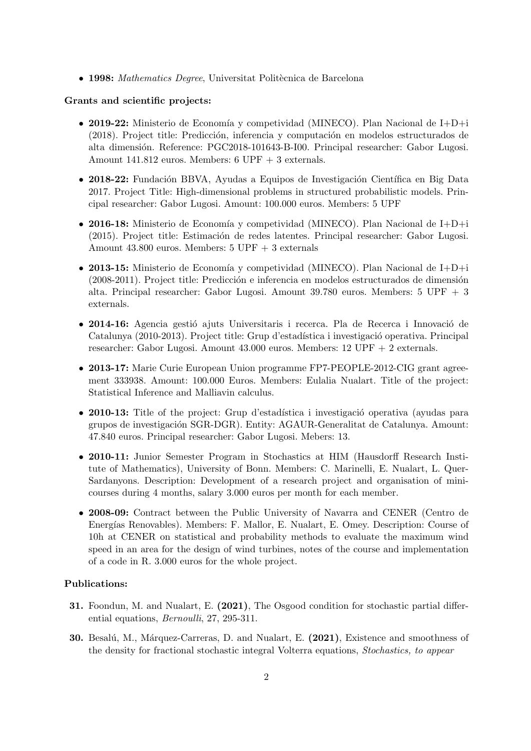$\bullet$  1998: Mathematics Degree, Universitat Politècnica de Barcelona

#### Grants and scientific projects:

- 2019-22: Ministerio de Economía y competividad (MINECO). Plan Nacional de I+D+i (2018). Project title: Predicción, inferencia y computación en modelos estructurados de alta dimensión. Reference: PGC2018-101643-B-I00. Principal researcher: Gabor Lugosi. Amount 141.812 euros. Members: 6 UPF + 3 externals.
- 2018-22: Fundación BBVA, Ayudas a Equipos de Investigación Científica en Big Data 2017. Project Title: High-dimensional problems in structured probabilistic models. Principal researcher: Gabor Lugosi. Amount: 100.000 euros. Members: 5 UPF
- 2016-18: Ministerio de Economía y competividad (MINECO). Plan Nacional de I+D+i (2015). Project title: Estimación de redes latentes. Principal researcher: Gabor Lugosi. Amount 43.800 euros. Members: 5 UPF + 3 externals
- 2013-15: Ministerio de Economía y competividad (MINECO). Plan Nacional de I+D+i  $(2008-2011)$ . Project title: Predicción e inferencia en modelos estructurados de dimensión alta. Principal researcher: Gabor Lugosi. Amount 39.780 euros. Members: 5 UPF + 3 externals.
- 2014-16: Agencia gestió ajuts Universitaris i recerca. Pla de Recerca i Innovació de Catalunya (2010-2013). Project title: Grup d'estadística i investigació operativa. Principal researcher: Gabor Lugosi. Amount 43.000 euros. Members: 12 UPF + 2 externals.
- 2013-17: Marie Curie European Union programme FP7-PEOPLE-2012-CIG grant agreement 333938. Amount: 100.000 Euros. Members: Eulalia Nualart. Title of the project: Statistical Inference and Malliavin calculus.
- 2010-13: Title of the project: Grup d'estadística i investigació operativa (ayudas para grupos de investigación SGR-DGR). Entity: AGAUR-Generalitat de Catalunya. Amount: 47.840 euros. Principal researcher: Gabor Lugosi. Mebers: 13.
- 2010-11: Junior Semester Program in Stochastics at HIM (Hausdorff Research Institute of Mathematics), University of Bonn. Members: C. Marinelli, E. Nualart, L. Quer-Sardanyons. Description: Development of a research project and organisation of minicourses during 4 months, salary 3.000 euros per month for each member.
- 2008-09: Contract between the Public University of Navarra and CENER (Centro de Energías Renovables). Members: F. Mallor, E. Nualart, E. Omey. Description: Course of 10h at CENER on statistical and probability methods to evaluate the maximum wind speed in an area for the design of wind turbines, notes of the course and implementation of a code in R. 3.000 euros for the whole project.

### Publications:

- 31. Foondun, M. and Nualart, E. (2021), The Osgood condition for stochastic partial differential equations, Bernoulli, 27, 295-311.
- 30. Besalú, M., Márquez-Carreras, D. and Nualart, E. (2021), Existence and smoothness of the density for fractional stochastic integral Volterra equations, Stochastics, to appear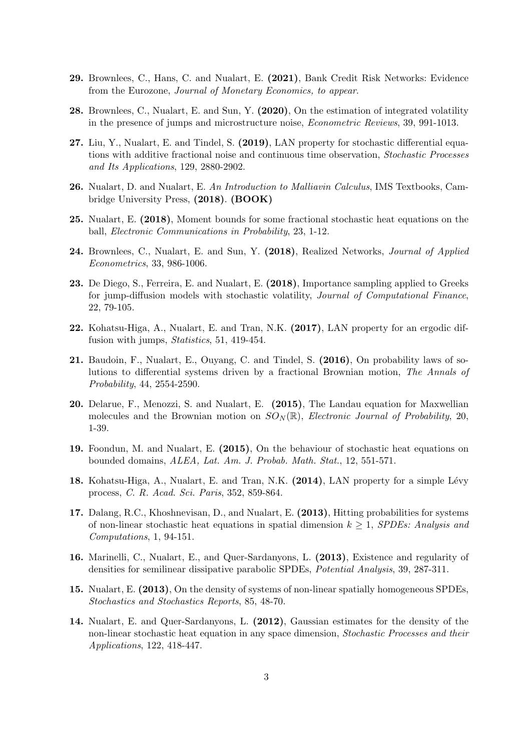- 29. Brownlees, C., Hans, C. and Nualart, E. (2021), Bank Credit Risk Networks: Evidence from the Eurozone, Journal of Monetary Economics, to appear.
- 28. Brownlees, C., Nualart, E. and Sun, Y. (2020), On the estimation of integrated volatility in the presence of jumps and microstructure noise, Econometric Reviews, 39, 991-1013.
- 27. Liu, Y., Nualart, E. and Tindel, S. (2019), LAN property for stochastic differential equations with additive fractional noise and continuous time observation, Stochastic Processes and Its Applications, 129, 2880-2902.
- 26. Nualart, D. and Nualart, E. An Introduction to Malliavin Calculus, IMS Textbooks, Cambridge University Press, (2018). (BOOK)
- 25. Nualart, E. (2018), Moment bounds for some fractional stochastic heat equations on the ball, Electronic Communications in Probability, 23, 1-12.
- 24. Brownlees, C., Nualart, E. and Sun, Y. (2018), Realized Networks, *Journal of Applied* Econometrics, 33, 986-1006.
- 23. De Diego, S., Ferreira, E. and Nualart, E. (2018), Importance sampling applied to Greeks for jump-diffusion models with stochastic volatility, Journal of Computational Finance, 22, 79-105.
- 22. Kohatsu-Higa, A., Nualart, E. and Tran, N.K. (2017), LAN property for an ergodic diffusion with jumps, *Statistics*, 51, 419-454.
- 21. Baudoin, F., Nualart, E., Ouyang, C. and Tindel, S. (2016), On probability laws of solutions to differential systems driven by a fractional Brownian motion, The Annals of Probability, 44, 2554-2590.
- 20. Delarue, F., Menozzi, S. and Nualart, E. (2015), The Landau equation for Maxwellian molecules and the Brownian motion on  $SO_N(\mathbb{R})$ , *Electronic Journal of Probability*, 20, 1-39.
- 19. Foondun, M. and Nualart, E. (2015), On the behaviour of stochastic heat equations on bounded domains, ALEA, Lat. Am. J. Probab. Math. Stat., 12, 551-571.
- 18. Kohatsu-Higa, A., Nualart, E. and Tran, N.K. (2014), LAN property for a simple Lévy process, C. R. Acad. Sci. Paris, 352, 859-864.
- 17. Dalang, R.C., Khoshnevisan, D., and Nualart, E. (2013), Hitting probabilities for systems of non-linear stochastic heat equations in spatial dimension  $k \geq 1$ , SPDEs: Analysis and Computations, 1, 94-151.
- 16. Marinelli, C., Nualart, E., and Quer-Sardanyons, L. (2013), Existence and regularity of densities for semilinear dissipative parabolic SPDEs, Potential Analysis, 39, 287-311.
- 15. Nualart, E. (2013), On the density of systems of non-linear spatially homogeneous SPDEs, Stochastics and Stochastics Reports, 85, 48-70.
- 14. Nualart, E. and Quer-Sardanyons, L. (2012), Gaussian estimates for the density of the non-linear stochastic heat equation in any space dimension, Stochastic Processes and their Applications, 122, 418-447.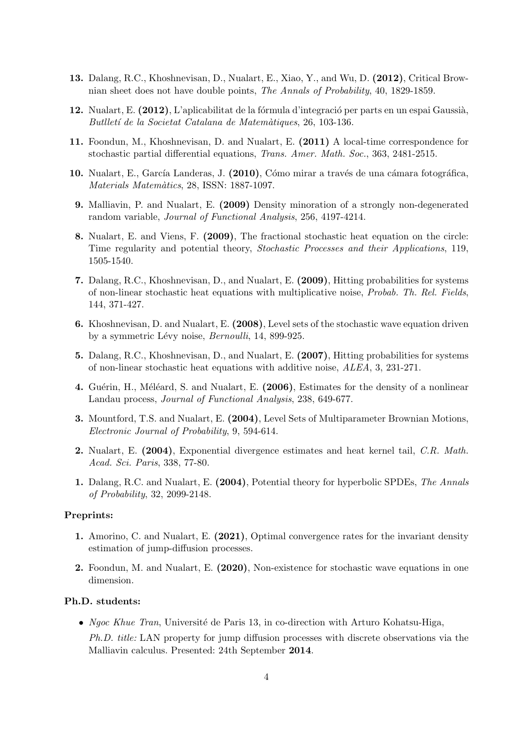- 13. Dalang, R.C., Khoshnevisan, D., Nualart, E., Xiao, Y., and Wu, D. (2012), Critical Brownian sheet does not have double points, The Annals of Probability, 40, 1829-1859.
- 12. Nualart, E. (2012), L'aplicabilitat de la fórmula d'integració per parts en un espai Gaussià, Butlletí de la Societat Catalana de Matemàtiques, 26, 103-136.
- 11. Foondun, M., Khoshnevisan, D. and Nualart, E. (2011) A local-time correspondence for stochastic partial differential equations, Trans. Amer. Math. Soc., 363, 2481-2515.
- 10. Nualart, E., García Landeras, J. (2010), Cómo mirar a través de una cámara fotográfica, Materials Matemàtics, 28, ISSN: 1887-1097.
- 9. Malliavin, P. and Nualart, E. (2009) Density minoration of a strongly non-degenerated random variable, Journal of Functional Analysis, 256, 4197-4214.
- 8. Nualart, E. and Viens, F. (2009), The fractional stochastic heat equation on the circle: Time regularity and potential theory, Stochastic Processes and their Applications, 119, 1505-1540.
- 7. Dalang, R.C., Khoshnevisan, D., and Nualart, E. (2009), Hitting probabilities for systems of non-linear stochastic heat equations with multiplicative noise, Probab. Th. Rel. Fields, 144, 371-427.
- 6. Khoshnevisan, D. and Nualart, E. (2008), Level sets of the stochastic wave equation driven by a symmetric Lévy noise, Bernoulli, 14, 899-925.
- 5. Dalang, R.C., Khoshnevisan, D., and Nualart, E. (2007), Hitting probabilities for systems of non-linear stochastic heat equations with additive noise, ALEA, 3, 231-271.
- 4. Guérin, H., Méléard, S. and Nualart, E. (2006), Estimates for the density of a nonlinear Landau process, Journal of Functional Analysis, 238, 649-677.
- 3. Mountford, T.S. and Nualart, E. (2004), Level Sets of Multiparameter Brownian Motions, Electronic Journal of Probability, 9, 594-614.
- 2. Nualart, E. (2004), Exponential divergence estimates and heat kernel tail, C.R. Math. Acad. Sci. Paris, 338, 77-80.
- 1. Dalang, R.C. and Nualart, E. (2004), Potential theory for hyperbolic SPDEs, The Annals of Probability, 32, 2099-2148.

#### Preprints:

- 1. Amorino, C. and Nualart, E. (2021), Optimal convergence rates for the invariant density estimation of jump-diffusion processes.
- 2. Foondun, M. and Nualart, E. (2020), Non-existence for stochastic wave equations in one dimension.

#### Ph.D. students:

- Ngoc Khue Tran, Université de Paris 13, in co-direction with Arturo Kohatsu-Higa,
	- Ph.D. title: LAN property for jump diffusion processes with discrete observations via the Malliavin calculus. Presented: 24th September 2014.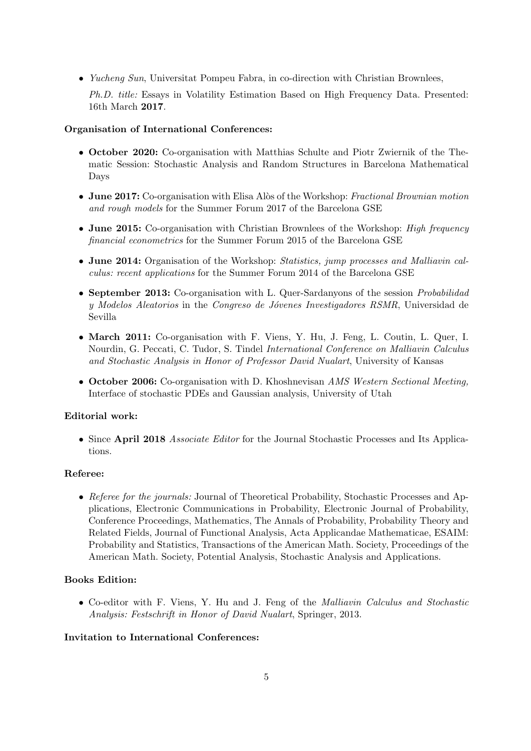• Yucheng Sun, Universitat Pompeu Fabra, in co-direction with Christian Brownlees,

Ph.D. title: Essays in Volatility Estimation Based on High Frequency Data. Presented: 16th March 2017.

# Organisation of International Conferences:

- October 2020: Co-organisation with Matthias Schulte and Piotr Zwiernik of the Thematic Session: Stochastic Analysis and Random Structures in Barcelona Mathematical Days
- June 2017: Co-organisation with Elisa Alòs of the Workshop: Fractional Brownian motion and rough models for the Summer Forum 2017 of the Barcelona GSE
- June 2015: Co-organisation with Christian Brownlees of the Workshop: High frequency financial econometrics for the Summer Forum 2015 of the Barcelona GSE
- June 2014: Organisation of the Workshop: Statistics, jump processes and Malliavin calculus: recent applications for the Summer Forum 2014 of the Barcelona GSE
- September 2013: Co-organisation with L. Quer-Sardanyons of the session *Probabilidad* y Modelos Aleatorios in the Congreso de Jóvenes Investigadores RSMR, Universidad de Sevilla
- March 2011: Co-organisation with F. Viens, Y. Hu, J. Feng, L. Coutin, L. Quer, I. Nourdin, G. Peccati, C. Tudor, S. Tindel International Conference on Malliavin Calculus and Stochastic Analysis in Honor of Professor David Nualart, University of Kansas
- October 2006: Co-organisation with D. Khoshnevisan AMS Western Sectional Meeting, Interface of stochastic PDEs and Gaussian analysis, University of Utah

# Editorial work:

• Since April 2018 Associate Editor for the Journal Stochastic Processes and Its Applications.

# Referee:

• Referee for the journals: Journal of Theoretical Probability, Stochastic Processes and Applications, Electronic Communications in Probability, Electronic Journal of Probability, Conference Proceedings, Mathematics, The Annals of Probability, Probability Theory and Related Fields, Journal of Functional Analysis, Acta Applicandae Mathematicae, ESAIM: Probability and Statistics, Transactions of the American Math. Society, Proceedings of the American Math. Society, Potential Analysis, Stochastic Analysis and Applications.

# Books Edition:

• Co-editor with F. Viens, Y. Hu and J. Feng of the Malliavin Calculus and Stochastic Analysis: Festschrift in Honor of David Nualart, Springer, 2013.

# Invitation to International Conferences: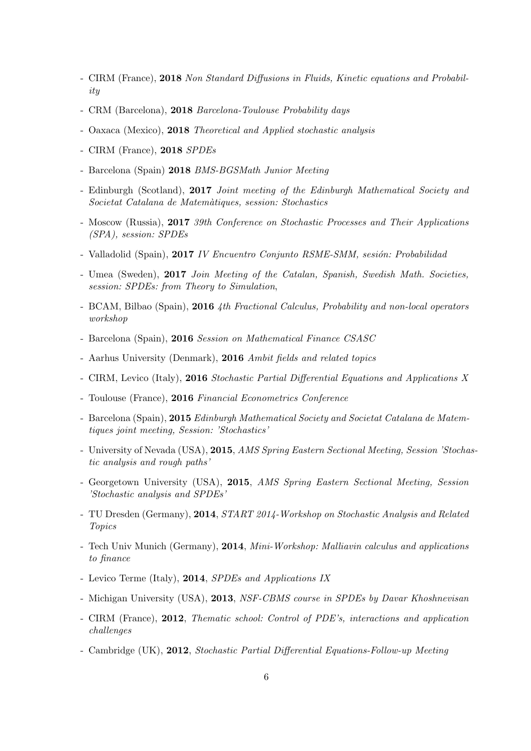- CIRM (France), 2018 Non Standard Diffusions in Fluids, Kinetic equations and Probability
- CRM (Barcelona), 2018 Barcelona-Toulouse Probability days
- Oaxaca (Mexico), 2018 Theoretical and Applied stochastic analysis
- CIRM (France), 2018 SPDEs
- Barcelona (Spain) 2018 BMS-BGSMath Junior Meeting
- Edinburgh (Scotland), 2017 Joint meeting of the Edinburgh Mathematical Society and Societat Catalana de Matem`atiques, session: Stochastics
- Moscow (Russia), 2017 39th Conference on Stochastic Processes and Their Applications (SPA), session: SPDEs
- Valladolid (Spain), 2017 IV Encuentro Conjunto RSME-SMM, sesión: Probabilidad
- Umea (Sweden), 2017 Join Meeting of the Catalan, Spanish, Swedish Math. Societies, session: SPDEs: from Theory to Simulation,
- BCAM, Bilbao (Spain), 2016 4th Fractional Calculus, Probability and non-local operators workshop
- Barcelona (Spain), 2016 Session on Mathematical Finance CSASC
- Aarhus University (Denmark), 2016 Ambit fields and related topics
- CIRM, Levico (Italy), 2016 Stochastic Partial Differential Equations and Applications X
- Toulouse (France), 2016 Financial Econometrics Conference
- Barcelona (Spain), 2015 Edinburgh Mathematical Society and Societat Catalana de Matemtiques joint meeting, Session: 'Stochastics'
- University of Nevada (USA), 2015, AMS Spring Eastern Sectional Meeting, Session 'Stochastic analysis and rough paths'
- Georgetown University (USA), 2015, AMS Spring Eastern Sectional Meeting, Session 'Stochastic analysis and SPDEs'
- TU Dresden (Germany), 2014, START 2014-Workshop on Stochastic Analysis and Related Topics
- Tech Univ Munich (Germany), 2014, Mini-Workshop: Malliavin calculus and applications to finance
- Levico Terme (Italy), 2014, SPDEs and Applications IX
- Michigan University (USA), 2013, NSF-CBMS course in SPDEs by Davar Khoshnevisan
- CIRM (France), 2012, Thematic school: Control of PDE's, interactions and application challenges
- Cambridge (UK), 2012, Stochastic Partial Differential Equations-Follow-up Meeting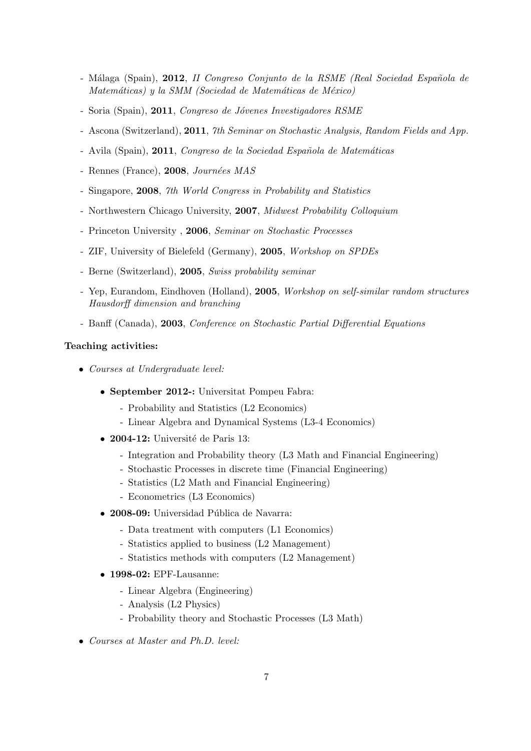- Málaga (Spain), 2012, II Congreso Conjunto de la RSME (Real Sociedad Española de Matemáticas) y la SMM (Sociedad de Matemáticas de México)
- Soria (Spain), 2011, Congreso de Jóvenes Investigadores RSME
- Ascona (Switzerland), 2011, 7th Seminar on Stochastic Analysis, Random Fields and App.
- Avila (Spain), 2011, Congreso de la Sociedad Española de Matemáticas
- Rennes (France),  $2008$ , Journées MAS
- Singapore, 2008, 7th World Congress in Probability and Statistics
- Northwestern Chicago University, 2007, Midwest Probability Colloquium
- Princeton University , 2006, Seminar on Stochastic Processes
- ZIF, University of Bielefeld (Germany), 2005, Workshop on SPDEs
- Berne (Switzerland), 2005, Swiss probability seminar
- Yep, Eurandom, Eindhoven (Holland), 2005, Workshop on self-similar random structures Hausdorff dimension and branching
- Banff (Canada), 2003, Conference on Stochastic Partial Differential Equations

### Teaching activities:

- Courses at Undergraduate level:
	- September 2012-: Universitat Pompeu Fabra:
		- Probability and Statistics (L2 Economics)
		- Linear Algebra and Dynamical Systems (L3-4 Economics)
	- 2004-12: Université de Paris 13:
		- Integration and Probability theory (L3 Math and Financial Engineering)
		- Stochastic Processes in discrete time (Financial Engineering)
		- Statistics (L2 Math and Financial Engineering)
		- Econometrics (L3 Economics)
	- 2008-09: Universidad Pública de Navarra:
		- Data treatment with computers (L1 Economics)
		- Statistics applied to business (L2 Management)
		- Statistics methods with computers (L2 Management)
	- 1998-02: EPF-Lausanne:
		- Linear Algebra (Engineering)
		- Analysis (L2 Physics)
		- Probability theory and Stochastic Processes (L3 Math)
- Courses at Master and Ph.D. level: